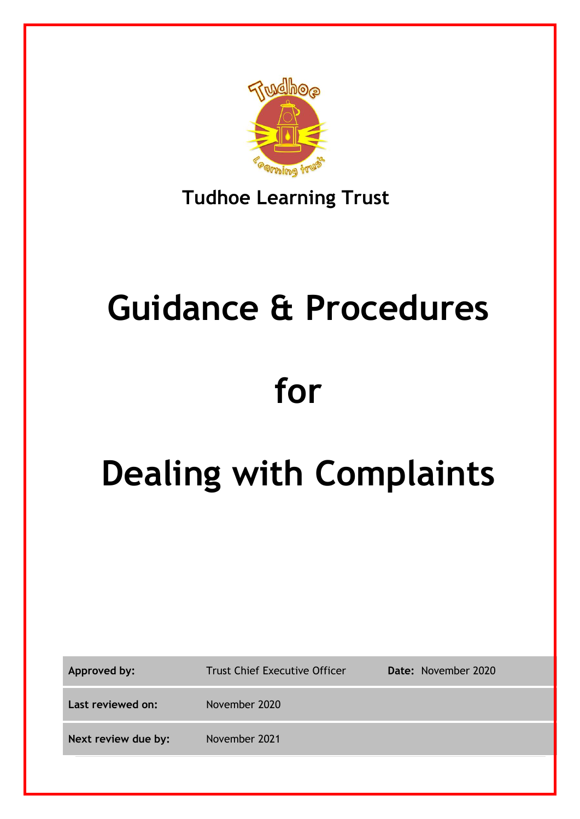

### **Tudhoe Learning Trust**

# **Guidance & Procedures for**

## **Dealing with Complaints**

| Approved by:        | <b>Trust Chief Executive Officer</b> | Date: November 2020 |
|---------------------|--------------------------------------|---------------------|
| Last reviewed on:   | November 2020                        |                     |
| Next review due by: | November 2021                        |                     |
|                     |                                      |                     |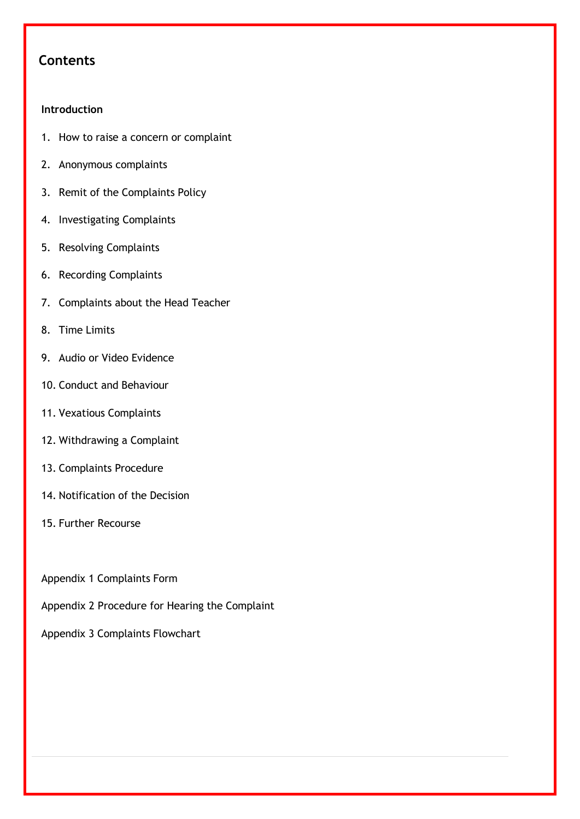#### **Contents**

#### **Introduction**

- 1. How to raise a concern or complaint
- 2. Anonymous complaints
- 3. Remit of the Complaints Policy
- 4. Investigating Complaints
- 5. Resolving Complaints
- 6. Recording Complaints
- 7. Complaints about the Head Teacher
- 8. Time Limits
- 9. Audio or Video Evidence
- 10. Conduct and Behaviour
- 11. Vexatious Complaints
- 12. Withdrawing a Complaint
- 13. Complaints Procedure
- 14. Notification of the Decision
- 15. Further Recourse
- Appendix 1 Complaints Form
- Appendix 2 Procedure for Hearing the Complaint

Appendix 3 Complaints Flowchart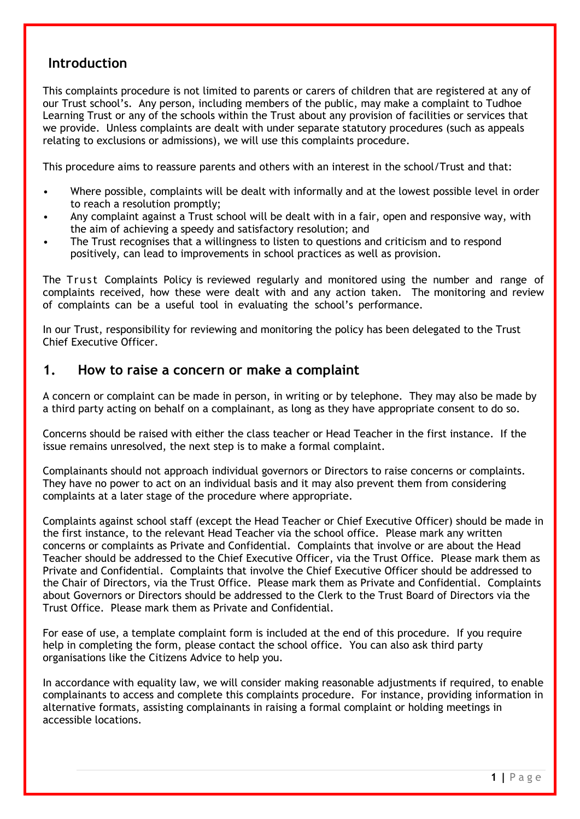#### **Introduction**

This complaints procedure is not limited to parents or carers of children that are registered at any of our Trust school's. Any person, including members of the public, may make a complaint to Tudhoe Learning Trust or any of the schools within the Trust about any provision of facilities or services that we provide. Unless complaints are dealt with under separate statutory procedures (such as appeals relating to exclusions or admissions), we will use this complaints procedure.

This procedure aims to reassure parents and others with an interest in the school/Trust and that:

- Where possible, complaints will be dealt with informally and at the lowest possible level in order to reach a resolution promptly;
- Any complaint against a Trust school will be dealt with in a fair, open and responsive way, with the aim of achieving a speedy and satisfactory resolution; and
- The Trust recognises that a willingness to listen to questions and criticism and to respond positively, can lead to improvements in school practices as well as provision.

The Trust Complaints Policy is reviewed regularly and monitored using the number and range of complaints received, how these were dealt with and any action taken. The monitoring and review of complaints can be a useful tool in evaluating the school's performance.

In our Trust, responsibility for reviewing and monitoring the policy has been delegated to the Trust Chief Executive Officer.

#### **1. How to raise a concern or make a complaint**

A concern or complaint can be made in person, in writing or by telephone. They may also be made by a third party acting on behalf on a complainant, as long as they have appropriate consent to do so.

Concerns should be raised with either the class teacher or Head Teacher in the first instance. If the issue remains unresolved, the next step is to make a formal complaint.

Complainants should not approach individual governors or Directors to raise concerns or complaints. They have no power to act on an individual basis and it may also prevent them from considering complaints at a later stage of the procedure where appropriate.

Complaints against school staff (except the Head Teacher or Chief Executive Officer) should be made in the first instance, to the relevant Head Teacher via the school office. Please mark any written concerns or complaints as Private and Confidential. Complaints that involve or are about the Head Teacher should be addressed to the Chief Executive Officer, via the Trust Office. Please mark them as Private and Confidential. Complaints that involve the Chief Executive Officer should be addressed to the Chair of Directors, via the Trust Office. Please mark them as Private and Confidential. Complaints about Governors or Directors should be addressed to the Clerk to the Trust Board of Directors via the Trust Office. Please mark them as Private and Confidential.

For ease of use, a template complaint form is included at the end of this procedure. If you require help in completing the form, please contact the school office. You can also ask third party organisations like the Citizens Advice to help you.

In accordance with equality law, we will consider making reasonable adjustments if required, to enable complainants to access and complete this complaints procedure. For instance, providing information in alternative formats, assisting complainants in raising a formal complaint or holding meetings in accessible locations.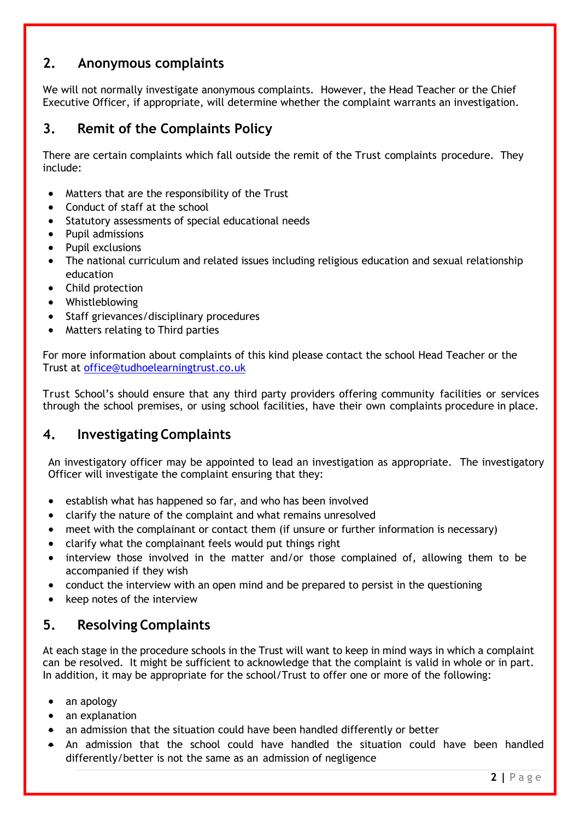#### **2. Anonymous complaints**

We will not normally investigate anonymous complaints. However, the Head Teacher or the Chief Executive Officer, if appropriate, will determine whether the complaint warrants an investigation.

#### **3. Remit of the Complaints Policy**

There are certain complaints which fall outside the remit of the Trust complaints procedure. They include:

- Matters that are the responsibility of the Trust
- Conduct of staff at the school
- Statutory assessments of special educational needs
- Pupil admissions
- Pupil exclusions
- The national curriculum and related issues including religious education and sexual relationship education
- Child protection
- Whistleblowing
- Staff grievances/disciplinary procedures
- Matters relating to Third parties

For more information about complaints of this kind please contact the school Head Teacher or the Trust at [office@tudhoelearningtrust.co.uk](mailto:office@tudhoelearningtrust.co.uk)

Trust School's should ensure that any third party providers offering community facilities or services through the school premises, or using school facilities, have their own complaints procedure in place.

#### **4. Investigating Complaints**

An investigatory officer may be appointed to lead an investigation as appropriate. The investigatory Officer will investigate the complaint ensuring that they:

- establish what has happened so far, and who has been involved
- clarify the nature of the complaint and what remains unresolved
- meet with the complainant or contact them (if unsure or further information is necessary)
- clarify what the complainant feels would put things right
- interview those involved in the matter and/or those complained of, allowing them to be accompanied if they wish
- conduct the interview with an open mind and be prepared to persist in the questioning
- keep notes of the interview

#### **5. Resolving Complaints**

At each stage in the procedure schools in the Trust will want to keep in mind ways in which a complaint can be resolved. It might be sufficient to acknowledge that the complaint is valid in whole or in part. In addition, it may be appropriate for the school/Trust to offer one or more of the following:

- an apology
- an explanation
- an admission that the situation could have been handled differently or better
- An admission that the school could have handled the situation could have been handled differently/better is not the same as an admission of negligence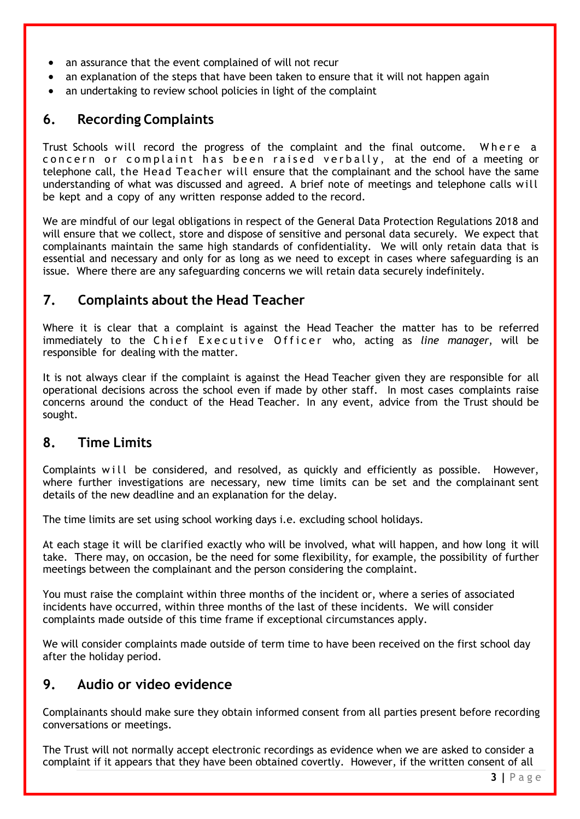- an assurance that the event complained of will not recur
- an explanation of the steps that have been taken to ensure that it will not happen again
- an undertaking to review school policies in light of the complaint

#### **6. Recording Complaints**

Trust Schools will record the progress of the complaint and the final outcome. Where a concern or complaint has been raised verbally, at the end of a meeting or telephone call, the Head Teacher will ensure that the complainant and the school have the same understanding of what was discussed and agreed. A brief note of meetings and telephone calls will be kept and a copy of any written response added to the record.

We are mindful of our legal obligations in respect of the General Data Protection Regulations 2018 and will ensure that we collect, store and dispose of sensitive and personal data securely. We expect that complainants maintain the same high standards of confidentiality. We will only retain data that is essential and necessary and only for as long as we need to except in cases where safeguarding is an issue. Where there are any safeguarding concerns we will retain data securely indefinitely.

#### **7. Complaints about the Head Teacher**

Where it is clear that a complaint is against the Head Teacher the matter has to be referred immediately to the Chief Executive Officer who, acting as *line manager*, will be responsible for dealing with the matter.

It is not always clear if the complaint is against the Head Teacher given they are responsible for all operational decisions across the school even if made by other staff. In most cases complaints raise concerns around the conduct of the Head Teacher. In any event, advice from the Trust should be sought.

#### **8. Time Limits**

Complaints will be considered, and resolved, as quickly and efficiently as possible. However, where further investigations are necessary, new time limits can be set and the complainant sent details of the new deadline and an explanation for the delay.

The time limits are set using school working days i.e. excluding school holidays.

At each stage it will be clarified exactly who will be involved, what will happen, and how long it will take. There may, on occasion, be the need for some flexibility, for example, the possibility of further meetings between the complainant and the person considering the complaint.

You must raise the complaint within three months of the incident or, where a series of associated incidents have occurred, within three months of the last of these incidents. We will consider complaints made outside of this time frame if exceptional circumstances apply.

We will consider complaints made outside of term time to have been received on the first school day after the holiday period.

#### **9. Audio or video evidence**

Complainants should make sure they obtain informed consent from all parties present before recording conversations or meetings.

The Trust will not normally accept electronic recordings as evidence when we are asked to consider a complaint if it appears that they have been obtained covertly. However, if the written consent of all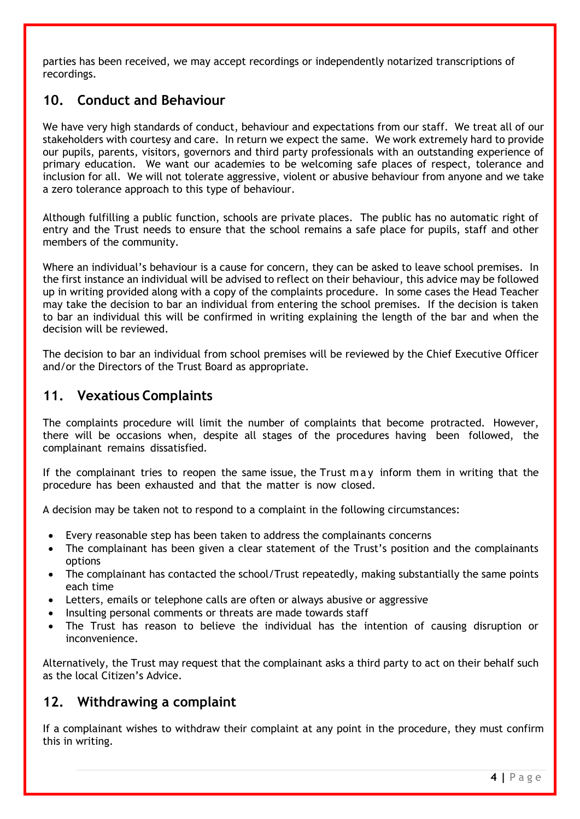parties has been received, we may accept recordings or independently notarized transcriptions of recordings.

#### **10. Conduct and Behaviour**

We have very high standards of conduct, behaviour and expectations from our staff. We treat all of our stakeholders with courtesy and care. In return we expect the same. We work extremely hard to provide our pupils, parents, visitors, governors and third party professionals with an outstanding experience of primary education. We want our academies to be welcoming safe places of respect, tolerance and inclusion for all. We will not tolerate aggressive, violent or abusive behaviour from anyone and we take a zero tolerance approach to this type of behaviour.

Although fulfilling a public function, schools are private places. The public has no automatic right of entry and the Trust needs to ensure that the school remains a safe place for pupils, staff and other members of the community.

Where an individual's behaviour is a cause for concern, they can be asked to leave school premises. In the first instance an individual will be advised to reflect on their behaviour, this advice may be followed up in writing provided along with a copy of the complaints procedure. In some cases the Head Teacher may take the decision to bar an individual from entering the school premises. If the decision is taken to bar an individual this will be confirmed in writing explaining the length of the bar and when the decision will be reviewed.

The decision to bar an individual from school premises will be reviewed by the Chief Executive Officer and/or the Directors of the Trust Board as appropriate.

#### **11. Vexatious Complaints**

The complaints procedure will limit the number of complaints that become protracted. However, there will be occasions when, despite all stages of the procedures having been followed, the complainant remains dissatisfied.

If the complainant tries to reopen the same issue, the Trust may inform them in writing that the procedure has been exhausted and that the matter is now closed.

A decision may be taken not to respond to a complaint in the following circumstances:

- Every reasonable step has been taken to address the complainants concerns
- The complainant has been given a clear statement of the Trust's position and the complainants options
- The complainant has contacted the school/Trust repeatedly, making substantially the same points each time
- Letters, emails or telephone calls are often or always abusive or aggressive
- Insulting personal comments or threats are made towards staff
- The Trust has reason to believe the individual has the intention of causing disruption or inconvenience.

Alternatively, the Trust may request that the complainant asks a third party to act on their behalf such as the local Citizen's Advice.

#### **12. Withdrawing a complaint**

If a complainant wishes to withdraw their complaint at any point in the procedure, they must confirm this in writing.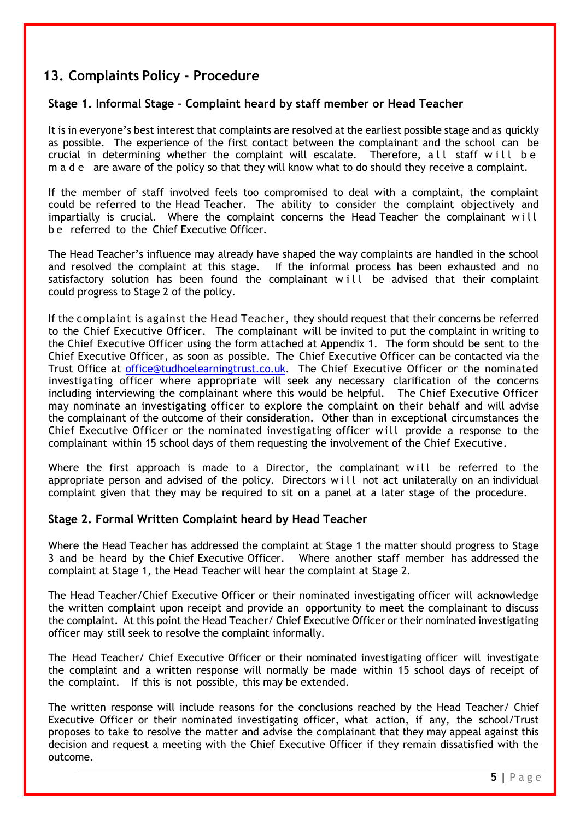#### **13. Complaints Policy - Procedure**

#### **Stage 1. Informal Stage – Complaint heard by staff member or Head Teacher**

It is in everyone's best interest that complaints are resolved at the earliest possible stage and as quickly as possible. The experience of the first contact between the complainant and the school can be crucial in determining whether the complaint will escalate. Therefore, all staff will be m a d e are aware of the policy so that they will know what to do should they receive a complaint.

If the member of staff involved feels too compromised to deal with a complaint, the complaint could be referred to the Head Teacher. The ability to consider the complaint objectively and impartially is crucial. Where the complaint concerns the Head Teacher the complainant will b e referred to the Chief Executive Officer.

The Head Teacher's influence may already have shaped the way complaints are handled in the school and resolved the complaint at this stage. If the informal process has been exhausted and no satisfactory solution has been found the complainant will be advised that their complaint could progress to Stage 2 of the policy.

If the complaint is against the Head Teacher, they should request that their concerns be referred to the Chief Executive Officer. The complainant will be invited to put the complaint in writing to the Chief Executive Officer using the form attached at Appendix 1. The form should be sent to the Chief Executive Officer, as soon as possible. The Chief Executive Officer can be contacted via the Trust Office at [office@tudhoelearningtrust.co.uk.](mailto:office@tudhoelearningtrust.co.uk) The Chief Executive Officer or the nominated investigating officer where appropriate will seek any necessary clarification of the concerns including interviewing the complainant where this would be helpful. The Chief Executive Officer may nominate an investigating officer to explore the complaint on their behalf and will advise the complainant of the outcome of their consideration. Other than in exceptional circumstances the Chief Executive Officer or the nominated investigating officer will provide a response to the complainant within 15 school days of them requesting the involvement of the Chief Executive.

Where the first approach is made to a Director, the complainant will be referred to the appropriate person and advised of the policy. Directors will not act unilaterally on an individual complaint given that they may be required to sit on a panel at a later stage of the procedure.

#### **Stage 2. Formal Written Complaint heard by Head Teacher**

Where the Head Teacher has addressed the complaint at Stage 1 the matter should progress to Stage 3 and be heard by the Chief Executive Officer. Where another staff member has addressed the complaint at Stage 1, the Head Teacher will hear the complaint at Stage 2.

The Head Teacher/Chief Executive Officer or their nominated investigating officer will acknowledge the written complaint upon receipt and provide an opportunity to meet the complainant to discuss the complaint. At this point the Head Teacher/ Chief Executive Officer or their nominated investigating officer may still seek to resolve the complaint informally.

The Head Teacher/ Chief Executive Officer or their nominated investigating officer will investigate the complaint and a written response will normally be made within 15 school days of receipt of the complaint. If this is not possible, this may be extended.

The written response will include reasons for the conclusions reached by the Head Teacher/ Chief Executive Officer or their nominated investigating officer, what action, if any, the school/Trust proposes to take to resolve the matter and advise the complainant that they may appeal against this decision and request a meeting with the Chief Executive Officer if they remain dissatisfied with the outcome.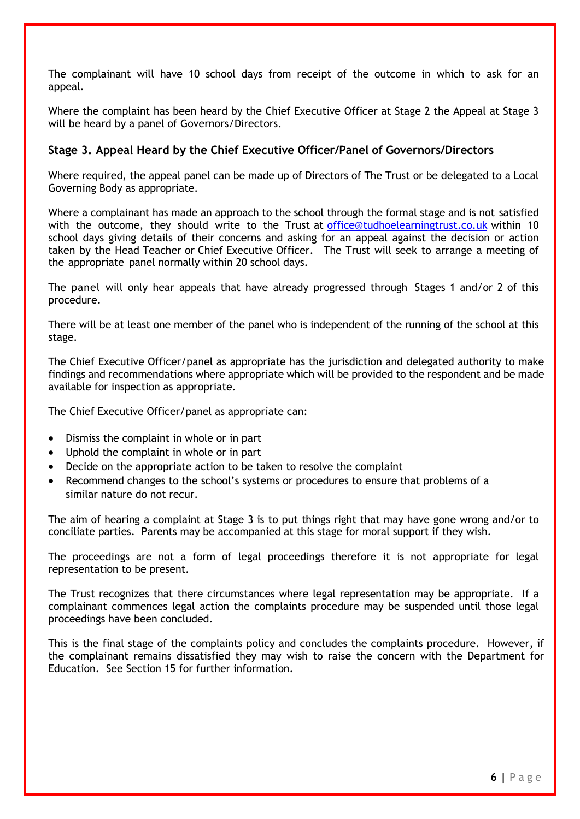The complainant will have 10 school days from receipt of the outcome in which to ask for an appeal.

Where the complaint has been heard by the Chief Executive Officer at Stage 2 the Appeal at Stage 3 will be heard by a panel of Governors/Directors.

#### **Stage 3. Appeal Heard by the Chief Executive Officer/Panel of Governors/Directors**

Where required, the appeal panel can be made up of Directors of The Trust or be delegated to a Local Governing Body as appropriate.

Where a complainant has made an approach to the school through the formal stage and is not satisfied with the outcome, they should write to the Trust at [office@tudhoelearningtrust.co.uk](mailto:office@tudhoelearningtrust.co.uk) within 10 school days giving details of their concerns and asking for an appeal against the decision or action taken by the Head Teacher or Chief Executive Officer. The Trust will seek to arrange a meeting of the appropriate panel normally within 20 school days.

The panel will only hear appeals that have already progressed through Stages 1 and/or 2 of this procedure.

There will be at least one member of the panel who is independent of the running of the school at this stage.

The Chief Executive Officer/panel as appropriate has the jurisdiction and delegated authority to make findings and recommendations where appropriate which will be provided to the respondent and be made available for inspection as appropriate.

The Chief Executive Officer/panel as appropriate can:

- Dismiss the complaint in whole or in part
- Uphold the complaint in whole or in part
- Decide on the appropriate action to be taken to resolve the complaint
- Recommend changes to the school's systems or procedures to ensure that problems of a similar nature do not recur.

The aim of hearing a complaint at Stage 3 is to put things right that may have gone wrong and/or to conciliate parties. Parents may be accompanied at this stage for moral support if they wish.

The proceedings are not a form of legal proceedings therefore it is not appropriate for legal representation to be present.

The Trust recognizes that there circumstances where legal representation may be appropriate. If a complainant commences legal action the complaints procedure may be suspended until those legal proceedings have been concluded.

This is the final stage of the complaints policy and concludes the complaints procedure. However, if the complainant remains dissatisfied they may wish to raise the concern with the Department for Education. See Section 15 for further information.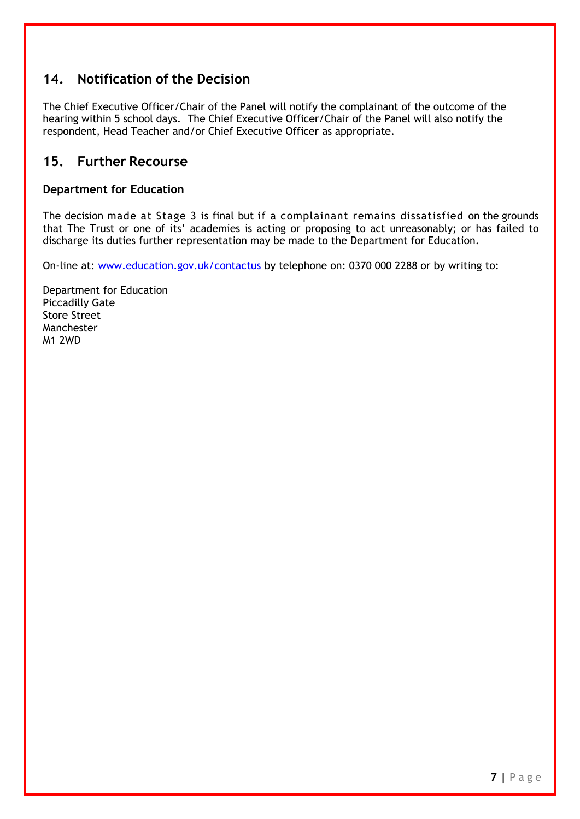#### **14. Notification of the Decision**

The Chief Executive Officer/Chair of the Panel will notify the complainant of the outcome of the hearing within 5 school days. The Chief Executive Officer/Chair of the Panel will also notify the respondent, Head Teacher and/or Chief Executive Officer as appropriate.

#### **15. Further Recourse**

#### **Department for Education**

The decision made at Stage 3 is final but if a complainant remains dissatisfied on the grounds that The Trust or one of its' academies is acting or proposing to act unreasonably; or has failed to discharge its duties further representation may be made to the Department for Education.

On-line at: [www.education.gov.uk/contactus](http://www.education.gov.uk/contactus) by telephone on: 0370 000 2288 or by writing to:

Department for Education Piccadilly Gate Store Street Manchester M1 2WD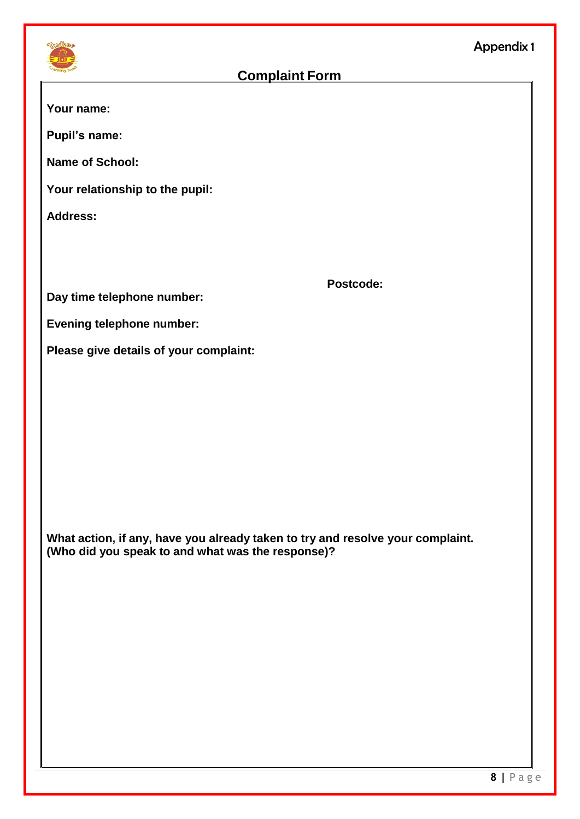

#### **Complaint Form**

**Your name:**

**Pupil's name:** 

**Name of School:**

**Your relationship to the pupil:** 

**Address:**

**Postcode:**

**Day time telephone number:** 

**Evening telephone number:**

**Please give details of your complaint:**

**What action, if any, have you already taken to try and resolve your complaint. (Who did you speak to and what was the response)?**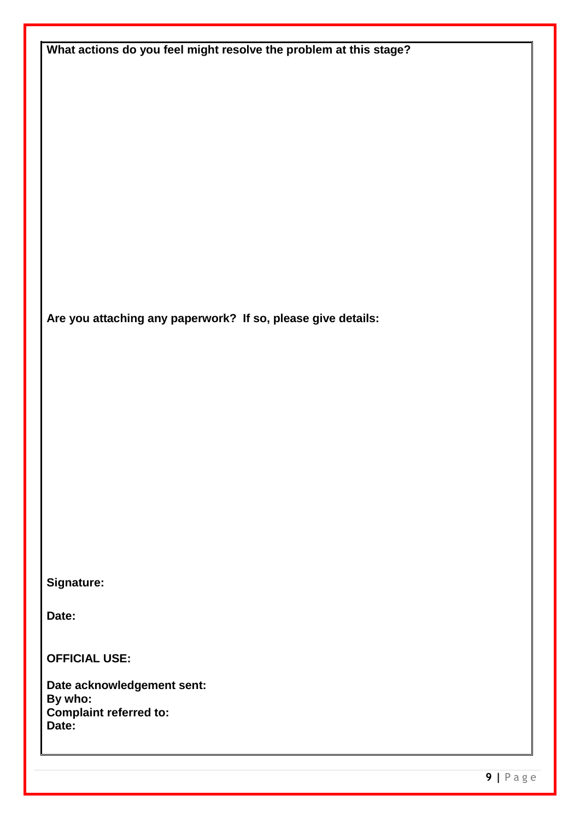| What actions do you feel might resolve the problem at this stage? |
|-------------------------------------------------------------------|
|                                                                   |
|                                                                   |
|                                                                   |
|                                                                   |
|                                                                   |
|                                                                   |
|                                                                   |
|                                                                   |
|                                                                   |
|                                                                   |
| Are you attaching any paperwork? If so, please give details:      |
|                                                                   |
|                                                                   |
|                                                                   |
|                                                                   |
|                                                                   |
|                                                                   |
|                                                                   |
|                                                                   |
|                                                                   |
|                                                                   |
| Signature:                                                        |
| Date:                                                             |
|                                                                   |
| <b>OFFICIAL USE:</b>                                              |
| Date acknowledgement sent:                                        |
| By who:<br><b>Complaint referred to:</b>                          |
| Date:                                                             |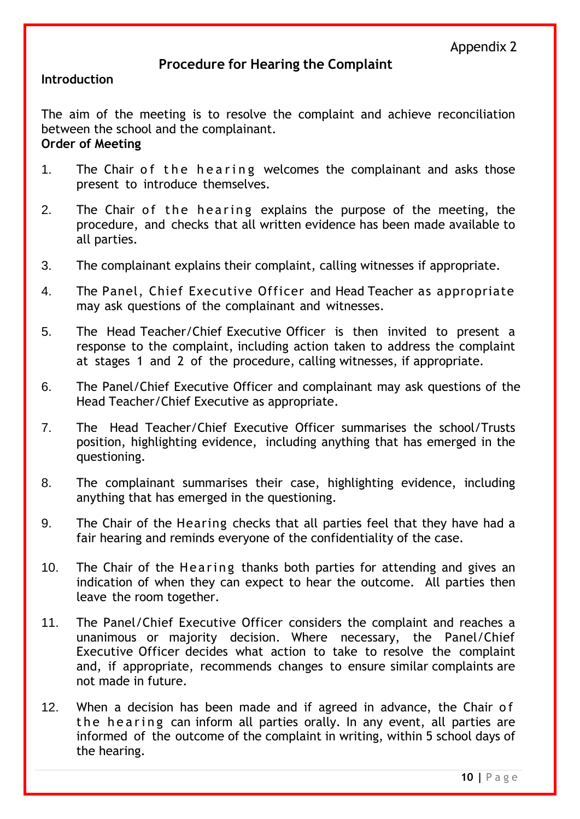#### **Procedure for Hearing the Complaint**

#### **Introduction**

The aim of the meeting is to resolve the complaint and achieve reconciliation between the school and the complainant. **Order of Meeting** 

- 1. The Chair of the hearing welcomes the complainant and asks those present to introduce themselves.
- 2. The Chair of the hearing explains the purpose of the meeting, the procedure, and checks that all written evidence has been made available to all parties.
- 3. The complainant explains their complaint, calling witnesses if appropriate.
- 4. The Panel, Chief Executive Officer and Head Teacher as appropriate may ask questions of the complainant and witnesses.
- 5. The Head Teacher/Chief Executive Officer is then invited to present a response to the complaint, including action taken to address the complaint at stages 1 and 2 of the procedure, calling witnesses, if appropriate.
- 6. The Panel/Chief Executive Officer and complainant may ask questions of the Head Teacher/Chief Executive as appropriate.
- 7. The Head Teacher/Chief Executive Officer summarises the school/Trusts position, highlighting evidence, including anything that has emerged in the questioning.
- 8. The complainant summarises their case, highlighting evidence, including anything that has emerged in the questioning.
- 9. The Chair of the Hearing checks that all parties feel that they have had a fair hearing and reminds everyone of the confidentiality of the case.
- 10. The Chair of the Hearing thanks both parties for attending and gives an indication of when they can expect to hear the outcome. All parties then leave the room together.
- 11. The Panel/Chief Executive Officer considers the complaint and reaches a unanimous or majority decision. Where necessary, the Panel/Chief Executive Officer decides what action to take to resolve the complaint and, if appropriate, recommends changes to ensure similar complaints are not made in future.
- 12. When a decision has been made and if agreed in advance, the Chair of the hearing can inform all parties orally. In any event, all parties are informed of the outcome of the complaint in writing, within 5 school days of the hearing.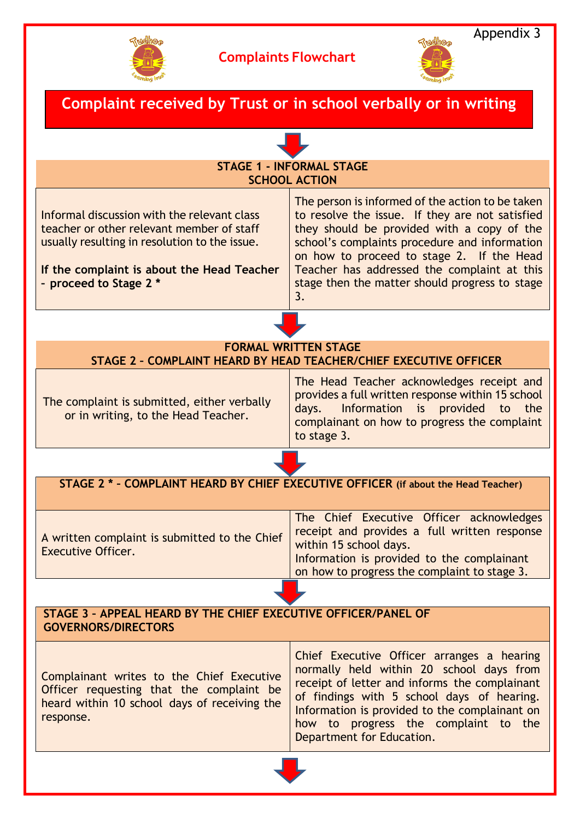



#### Appendix 3

| Complaint received by Trust or in school verbally or in writing                                                                                                                                                   |                                                                                                                                                                                                                                                                                                                                                        |  |  |  |
|-------------------------------------------------------------------------------------------------------------------------------------------------------------------------------------------------------------------|--------------------------------------------------------------------------------------------------------------------------------------------------------------------------------------------------------------------------------------------------------------------------------------------------------------------------------------------------------|--|--|--|
|                                                                                                                                                                                                                   |                                                                                                                                                                                                                                                                                                                                                        |  |  |  |
| <b>STAGE 1 - INFORMAL STAGE</b><br><b>SCHOOL ACTION</b>                                                                                                                                                           |                                                                                                                                                                                                                                                                                                                                                        |  |  |  |
| Informal discussion with the relevant class<br>teacher or other relevant member of staff<br>usually resulting in resolution to the issue.<br>If the complaint is about the Head Teacher<br>- proceed to Stage 2 * | The person is informed of the action to be taken<br>to resolve the issue. If they are not satisfied<br>they should be provided with a copy of the<br>school's complaints procedure and information<br>on how to proceed to stage 2. If the Head<br>Teacher has addressed the complaint at this<br>stage then the matter should progress to stage<br>3. |  |  |  |
|                                                                                                                                                                                                                   |                                                                                                                                                                                                                                                                                                                                                        |  |  |  |
| <b>FORMAL WRITTEN STAGE</b><br>STAGE 2 - COMPLAINT HEARD BY HEAD TEACHER/CHIEF EXECUTIVE OFFICER                                                                                                                  |                                                                                                                                                                                                                                                                                                                                                        |  |  |  |
| The complaint is submitted, either verbally<br>or in writing, to the Head Teacher.                                                                                                                                | The Head Teacher acknowledges receipt and<br>provides a full written response within 15 school<br>Information is provided<br>days.<br>to<br>the<br>complainant on how to progress the complaint<br>to stage 3.                                                                                                                                         |  |  |  |
|                                                                                                                                                                                                                   |                                                                                                                                                                                                                                                                                                                                                        |  |  |  |
| STAGE 2 * - COMPLAINT HEARD BY CHIEF EXECUTIVE OFFICER (if about the Head Teacher)                                                                                                                                |                                                                                                                                                                                                                                                                                                                                                        |  |  |  |
| A written complaint is submitted to the Chief<br><b>Executive Officer.</b>                                                                                                                                        | The Chief Executive Officer acknowledges<br>receipt and provides a full written response<br>within 15 school days.<br>Information is provided to the complainant<br>on how to progress the complaint to stage 3.                                                                                                                                       |  |  |  |
|                                                                                                                                                                                                                   |                                                                                                                                                                                                                                                                                                                                                        |  |  |  |
| STAGE 3 - APPEAL HEARD BY THE CHIEF EXECUTIVE OFFICER/PANEL OF<br><b>GOVERNORS/DIRECTORS</b>                                                                                                                      |                                                                                                                                                                                                                                                                                                                                                        |  |  |  |
| Complainant writes to the Chief Executive<br>Officer requesting that the complaint be<br>heard within 10 school days of receiving the<br>response.                                                                | Chief Executive Officer arranges a hearing<br>normally held within 20 school days from<br>receipt of letter and informs the complainant<br>of findings with 5 school days of hearing.<br>Information is provided to the complainant on<br>how to progress the complaint to the<br>Department for Education.                                            |  |  |  |
|                                                                                                                                                                                                                   |                                                                                                                                                                                                                                                                                                                                                        |  |  |  |
|                                                                                                                                                                                                                   |                                                                                                                                                                                                                                                                                                                                                        |  |  |  |